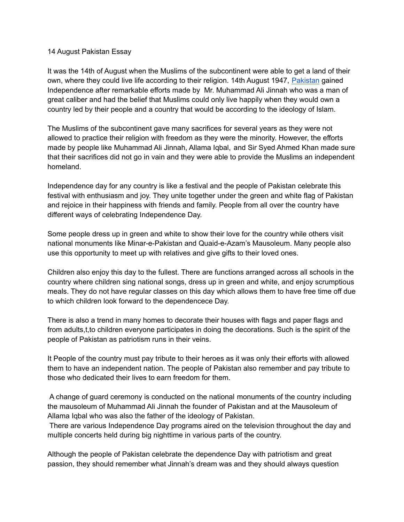## 14 August Pakistan Essay

It was the 14th of August when the Muslims of the subcontinent were able to get a land of their own, where they could live life according to their religion. 14th August 1947, [Pakistan](https://www.perfect24u.com/) gained Independence after remarkable efforts made by Mr. Muhammad Ali Jinnah who was a man of great caliber and had the belief that Muslims could only live happily when they would own a country led by their people and a country that would be according to the ideology of Islam.

The Muslims of the subcontinent gave many sacrifices for several years as they were not allowed to practice their religion with freedom as they were the minority. However, the efforts made by people like Muhammad Ali Jinnah, Allama Iqbal, and Sir Syed Ahmed Khan made sure that their sacrifices did not go in vain and they were able to provide the Muslims an independent homeland.

Independence day for any country is like a festival and the people of Pakistan celebrate this festival with enthusiasm and joy. They unite together under the green and white flag of Pakistan and rejoice in their happiness with friends and family. People from all over the country have different ways of celebrating Independence Day.

Some people dress up in green and white to show their love for the country while others visit national monuments like Minar-e-Pakistan and Quaid-e-Azam's Mausoleum. Many people also use this opportunity to meet up with relatives and give gifts to their loved ones.

Children also enjoy this day to the fullest. There are functions arranged across all schools in the country where children sing national songs, dress up in green and white, and enjoy scrumptious meals. They do not have regular classes on this day which allows them to have free time off due to which children look forward to the dependencece Day.

There is also a trend in many homes to decorate their houses with flags and paper flags and from adults,t,to children everyone participates in doing the decorations. Such is the spirit of the people of Pakistan as patriotism runs in their veins.

It People of the country must pay tribute to their heroes as it was only their efforts with allowed them to have an independent nation. The people of Pakistan also remember and pay tribute to those who dedicated their lives to earn freedom for them.

A change of guard ceremony is conducted on the national monuments of the country including the mausoleum of Muhammad Ali Jinnah the founder of Pakistan and at the Mausoleum of Allama Iqbal who was also the father of the ideology of Pakistan.

There are various Independence Day programs aired on the television throughout the day and multiple concerts held during big nighttime in various parts of the country.

Although the people of Pakistan celebrate the dependence Day with patriotism and great passion, they should remember what Jinnah's dream was and they should always question